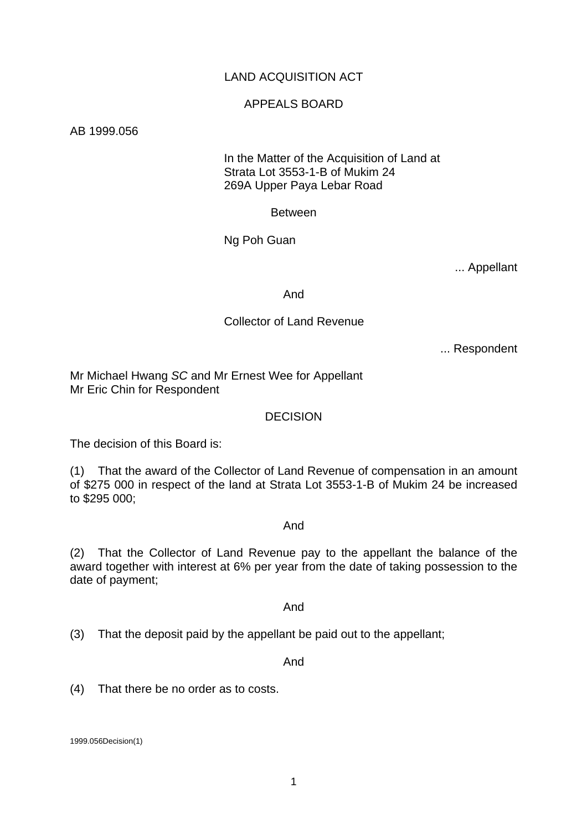# LAND ACQUISITION ACT

#### APPEALS BOARD

AB 1999.056

 In the Matter of the Acquisition of Land at Strata Lot 3553-1-B of Mukim 24 269A Upper Paya Lebar Road

Between

Ng Poh Guan

... Appellant

And

#### Collector of Land Revenue

... Respondent

Mr Michael Hwang *SC* and Mr Ernest Wee for Appellant Mr Eric Chin for Respondent

#### DECISION

The decision of this Board is:

(1) That the award of the Collector of Land Revenue of compensation in an amount of \$275 000 in respect of the land at Strata Lot 3553-1-B of Mukim 24 be increased to \$295 000;

#### And

(2) That the Collector of Land Revenue pay to the appellant the balance of the award together with interest at 6% per year from the date of taking possession to the date of payment;

And

(3) That the deposit paid by the appellant be paid out to the appellant;

And

(4) That there be no order as to costs.

1999.056Decision(1)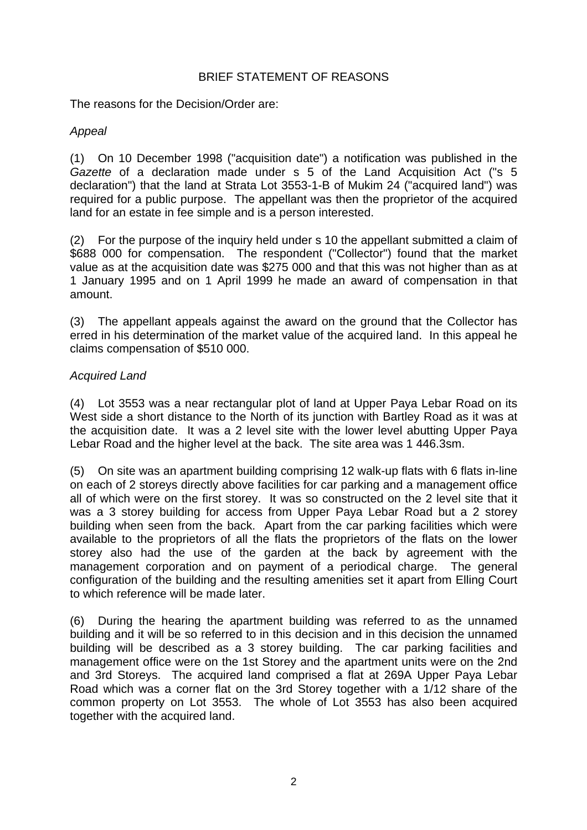# BRIEF STATEMENT OF REASONS

The reasons for the Decision/Order are:

# *Appeal*

(1) On 10 December 1998 ("acquisition date") a notification was published in the *Gazette* of a declaration made under s 5 of the Land Acquisition Act ("s 5 declaration") that the land at Strata Lot 3553-1-B of Mukim 24 ("acquired land") was required for a public purpose. The appellant was then the proprietor of the acquired land for an estate in fee simple and is a person interested.

(2) For the purpose of the inquiry held under s 10 the appellant submitted a claim of \$688 000 for compensation. The respondent ("Collector") found that the market value as at the acquisition date was \$275 000 and that this was not higher than as at 1 January 1995 and on 1 April 1999 he made an award of compensation in that amount.

(3) The appellant appeals against the award on the ground that the Collector has erred in his determination of the market value of the acquired land. In this appeal he claims compensation of \$510 000.

# *Acquired Land*

(4) Lot 3553 was a near rectangular plot of land at Upper Paya Lebar Road on its West side a short distance to the North of its junction with Bartley Road as it was at the acquisition date. It was a 2 level site with the lower level abutting Upper Paya Lebar Road and the higher level at the back. The site area was 1 446.3sm.

(5) On site was an apartment building comprising 12 walk-up flats with 6 flats in-line on each of 2 storeys directly above facilities for car parking and a management office all of which were on the first storey. It was so constructed on the 2 level site that it was a 3 storey building for access from Upper Paya Lebar Road but a 2 storey building when seen from the back. Apart from the car parking facilities which were available to the proprietors of all the flats the proprietors of the flats on the lower storey also had the use of the garden at the back by agreement with the management corporation and on payment of a periodical charge. The general configuration of the building and the resulting amenities set it apart from Elling Court to which reference will be made later.

(6) During the hearing the apartment building was referred to as the unnamed building and it will be so referred to in this decision and in this decision the unnamed building will be described as a 3 storey building. The car parking facilities and management office were on the 1st Storey and the apartment units were on the 2nd and 3rd Storeys. The acquired land comprised a flat at 269A Upper Paya Lebar Road which was a corner flat on the 3rd Storey together with a 1/12 share of the common property on Lot 3553. The whole of Lot 3553 has also been acquired together with the acquired land.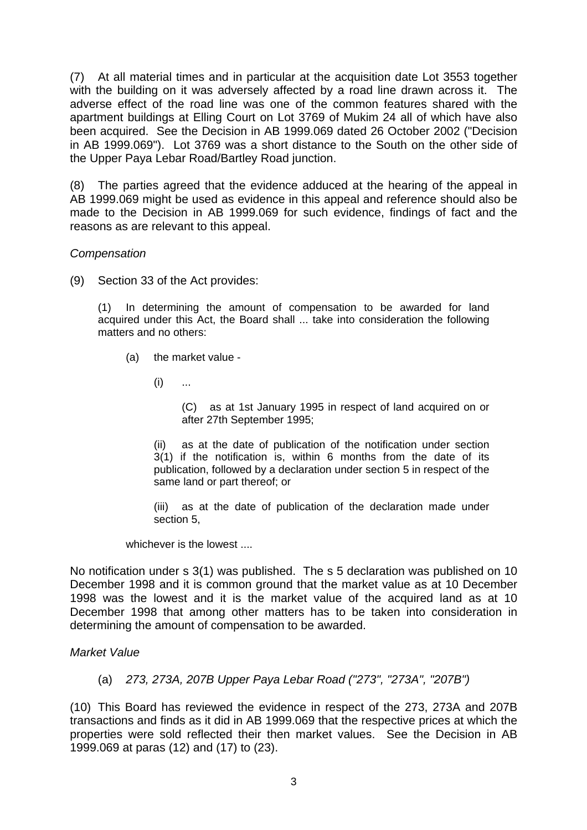(7) At all material times and in particular at the acquisition date Lot 3553 together with the building on it was adversely affected by a road line drawn across it. The adverse effect of the road line was one of the common features shared with the apartment buildings at Elling Court on Lot 3769 of Mukim 24 all of which have also been acquired. See the Decision in AB 1999.069 dated 26 October 2002 ("Decision in AB 1999.069"). Lot 3769 was a short distance to the South on the other side of the Upper Paya Lebar Road/Bartley Road junction.

(8) The parties agreed that the evidence adduced at the hearing of the appeal in AB 1999.069 might be used as evidence in this appeal and reference should also be made to the Decision in AB 1999.069 for such evidence, findings of fact and the reasons as are relevant to this appeal.

# *Compensation*

(9) Section 33 of the Act provides:

(1) In determining the amount of compensation to be awarded for land acquired under this Act, the Board shall ... take into consideration the following matters and no others:

- (a) the market value
	- $(i)$  ...

 (C) as at 1st January 1995 in respect of land acquired on or after 27th September 1995;

(ii) as at the date of publication of the notification under section 3(1) if the notification is, within 6 months from the date of its publication, followed by a declaration under section 5 in respect of the same land or part thereof; or

(iii) as at the date of publication of the declaration made under section 5,

whichever is the lowest ....

No notification under s 3(1) was published. The s 5 declaration was published on 10 December 1998 and it is common ground that the market value as at 10 December 1998 was the lowest and it is the market value of the acquired land as at 10 December 1998 that among other matters has to be taken into consideration in determining the amount of compensation to be awarded.

#### *Market Value*

(a) *273, 273A, 207B Upper Paya Lebar Road ("273", "273A", "207B")* 

(10) This Board has reviewed the evidence in respect of the 273, 273A and 207B transactions and finds as it did in AB 1999.069 that the respective prices at which the properties were sold reflected their then market values. See the Decision in AB 1999.069 at paras (12) and (17) to (23).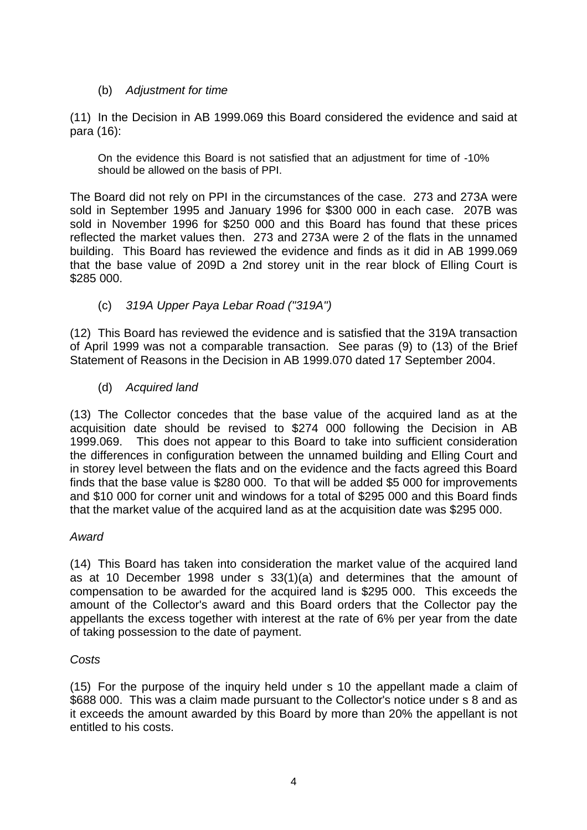# (b) *Adjustment for time*

(11) In the Decision in AB 1999.069 this Board considered the evidence and said at para (16):

On the evidence this Board is not satisfied that an adjustment for time of -10% should be allowed on the basis of PPI.

The Board did not rely on PPI in the circumstances of the case. 273 and 273A were sold in September 1995 and January 1996 for \$300 000 in each case. 207B was sold in November 1996 for \$250 000 and this Board has found that these prices reflected the market values then. 273 and 273A were 2 of the flats in the unnamed building. This Board has reviewed the evidence and finds as it did in AB 1999.069 that the base value of 209D a 2nd storey unit in the rear block of Elling Court is \$285 000.

# (c) *319A Upper Paya Lebar Road ("319A")*

(12) This Board has reviewed the evidence and is satisfied that the 319A transaction of April 1999 was not a comparable transaction. See paras (9) to (13) of the Brief Statement of Reasons in the Decision in AB 1999.070 dated 17 September 2004.

(d) *Acquired land* 

(13) The Collector concedes that the base value of the acquired land as at the acquisition date should be revised to \$274 000 following the Decision in AB 1999.069. This does not appear to this Board to take into sufficient consideration the differences in configuration between the unnamed building and Elling Court and in storey level between the flats and on the evidence and the facts agreed this Board finds that the base value is \$280 000. To that will be added \$5 000 for improvements and \$10 000 for corner unit and windows for a total of \$295 000 and this Board finds that the market value of the acquired land as at the acquisition date was \$295 000.

#### *Award*

(14) This Board has taken into consideration the market value of the acquired land as at 10 December 1998 under s 33(1)(a) and determines that the amount of compensation to be awarded for the acquired land is \$295 000. This exceeds the amount of the Collector's award and this Board orders that the Collector pay the appellants the excess together with interest at the rate of 6% per year from the date of taking possession to the date of payment.

#### *Costs*

(15) For the purpose of the inquiry held under s 10 the appellant made a claim of \$688 000. This was a claim made pursuant to the Collector's notice under s 8 and as it exceeds the amount awarded by this Board by more than 20% the appellant is not entitled to his costs.